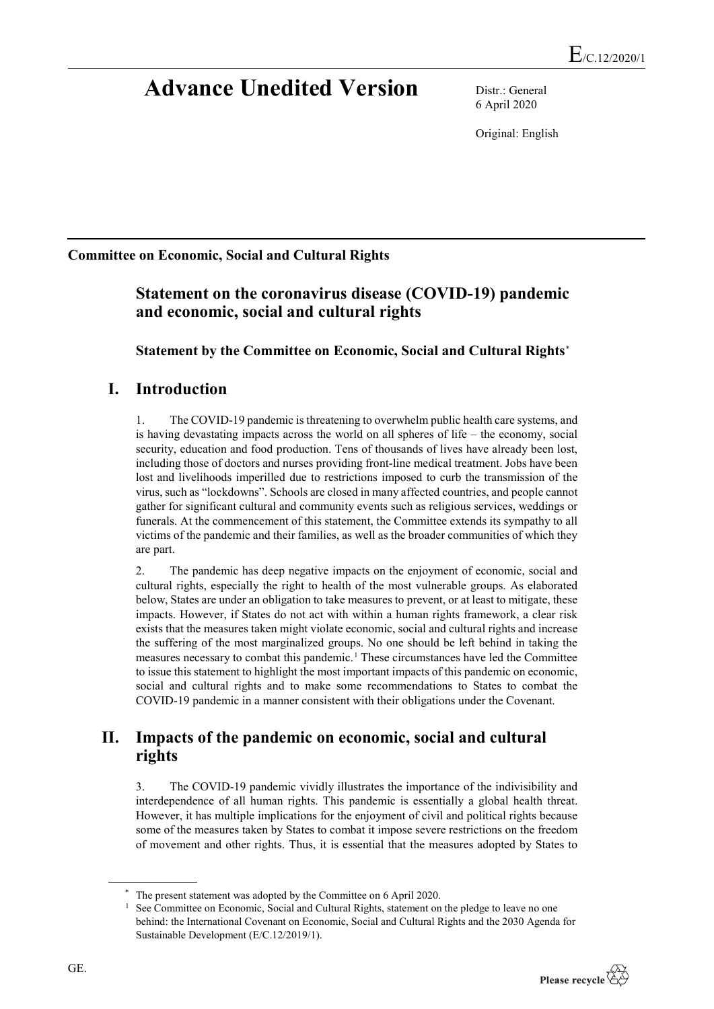# **Advance Unedited Version** Distr.: General

6 April 2020

Original: English

#### **Committee on Economic, Social and Cultural Rights**

## **Statement on the coronavirus disease (COVID-19) pandemic and economic, social and cultural rights**

**Statement by the Committee on Economic, Social and Cultural Rights**[\\*](#page-0-0)

### **I. Introduction**

1. The COVID-19 pandemic is threatening to overwhelm public health care systems, and is having devastating impacts across the world on all spheres of life – the economy, social security, education and food production. Tens of thousands of lives have already been lost, including those of doctors and nurses providing front-line medical treatment. Jobs have been lost and livelihoods imperilled due to restrictions imposed to curb the transmission of the virus, such as "lockdowns". Schools are closed in many affected countries, and people cannot gather for significant cultural and community events such as religious services, weddings or funerals. At the commencement of this statement, the Committee extends its sympathy to all victims of the pandemic and their families, as well as the broader communities of which they are part.

2. The pandemic has deep negative impacts on the enjoyment of economic, social and cultural rights, especially the right to health of the most vulnerable groups. As elaborated below, States are under an obligation to take measures to prevent, or at least to mitigate, these impacts. However, if States do not act with within a human rights framework, a clear risk exists that the measures taken might violate economic, social and cultural rights and increase the suffering of the most marginalized groups. No one should be left behind in taking the measures necessary to combat this pandemic.[1](#page-0-1) These circumstances have led the Committee to issue this statement to highlight the most important impacts of this pandemic on economic, social and cultural rights and to make some recommendations to States to combat the COVID-19 pandemic in a manner consistent with their obligations under the Covenant.

### **II. Impacts of the pandemic on economic, social and cultural rights**

3. The COVID-19 pandemic vividly illustrates the importance of the indivisibility and interdependence of all human rights. This pandemic is essentially a global health threat. However, it has multiple implications for the enjoyment of civil and political rights because some of the measures taken by States to combat it impose severe restrictions on the freedom of movement and other rights. Thus, it is essential that the measures adopted by States to

<sup>1</sup> See Committee on Economic, Social and Cultural Rights, statement on the pledge to leave no one behind: the International Covenant on Economic, Social and Cultural Rights and the 2030 Agenda for Sustainable Development (E/C.12/2019/1).



<span id="page-0-1"></span><span id="page-0-0"></span>The present statement was adopted by the Committee on 6 April 2020.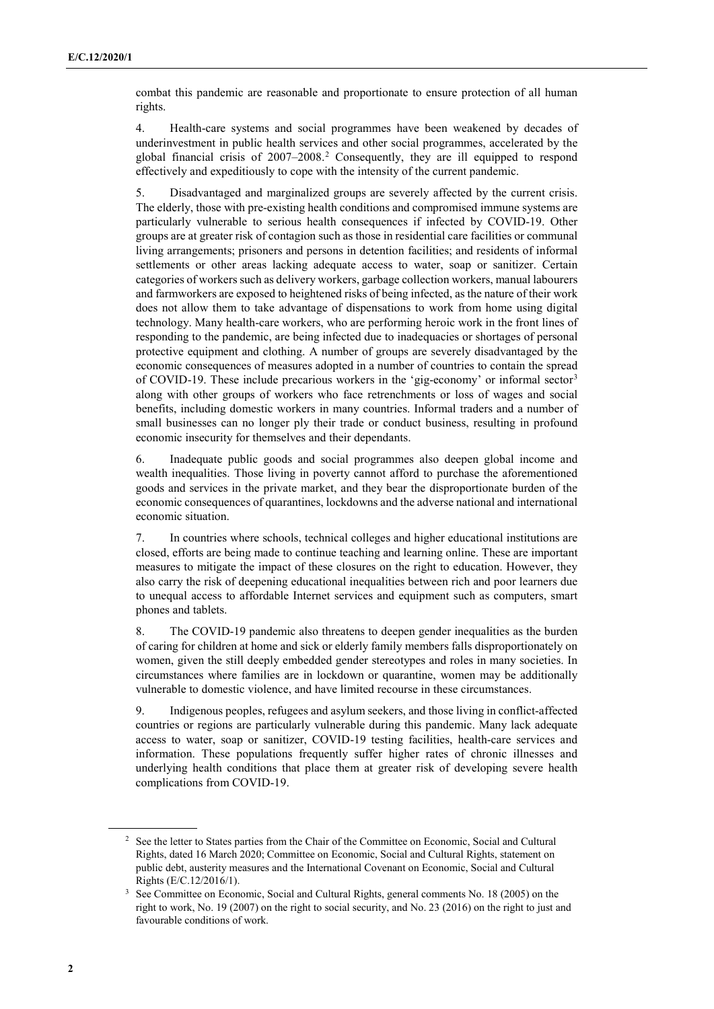combat this pandemic are reasonable and proportionate to ensure protection of all human rights.

4. Health-care systems and social programmes have been weakened by decades of underinvestment in public health services and other social programmes, accelerated by the global financial crisis of 2007–2008.[2](#page-1-0) Consequently, they are ill equipped to respond effectively and expeditiously to cope with the intensity of the current pandemic.

5. Disadvantaged and marginalized groups are severely affected by the current crisis. The elderly, those with pre-existing health conditions and compromised immune systems are particularly vulnerable to serious health consequences if infected by COVID-19. Other groups are at greater risk of contagion such as those in residential care facilities or communal living arrangements; prisoners and persons in detention facilities; and residents of informal settlements or other areas lacking adequate access to water, soap or sanitizer. Certain categories of workers such as delivery workers, garbage collection workers, manual labourers and farmworkers are exposed to heightened risks of being infected, as the nature of their work does not allow them to take advantage of dispensations to work from home using digital technology. Many health-care workers, who are performing heroic work in the front lines of responding to the pandemic, are being infected due to inadequacies or shortages of personal protective equipment and clothing. A number of groups are severely disadvantaged by the economic consequences of measures adopted in a number of countries to contain the spread of COVID-19. These include precarious workers in the 'gig-economy' or informal sector<sup>[3](#page-1-1)</sup> along with other groups of workers who face retrenchments or loss of wages and social benefits, including domestic workers in many countries. Informal traders and a number of small businesses can no longer ply their trade or conduct business, resulting in profound economic insecurity for themselves and their dependants.

6. Inadequate public goods and social programmes also deepen global income and wealth inequalities. Those living in poverty cannot afford to purchase the aforementioned goods and services in the private market, and they bear the disproportionate burden of the economic consequences of quarantines, lockdowns and the adverse national and international economic situation.

7. In countries where schools, technical colleges and higher educational institutions are closed, efforts are being made to continue teaching and learning online. These are important measures to mitigate the impact of these closures on the right to education. However, they also carry the risk of deepening educational inequalities between rich and poor learners due to unequal access to affordable Internet services and equipment such as computers, smart phones and tablets.

8. The COVID-19 pandemic also threatens to deepen gender inequalities as the burden of caring for children at home and sick or elderly family members falls disproportionately on women, given the still deeply embedded gender stereotypes and roles in many societies. In circumstances where families are in lockdown or quarantine, women may be additionally vulnerable to domestic violence, and have limited recourse in these circumstances.

9. Indigenous peoples, refugees and asylum seekers, and those living in conflict-affected countries or regions are particularly vulnerable during this pandemic. Many lack adequate access to water, soap or sanitizer, COVID-19 testing facilities, health-care services and information. These populations frequently suffer higher rates of chronic illnesses and underlying health conditions that place them at greater risk of developing severe health complications from COVID-19.

<span id="page-1-0"></span><sup>&</sup>lt;sup>2</sup> See the letter to States parties from the Chair of the Committee on Economic, Social and Cultural Rights, dated 16 March 2020; Committee on Economic, Social and Cultural Rights, statement on public debt, austerity measures and the International Covenant on Economic, Social and Cultural Rights (E/C.12/2016/1).

<span id="page-1-1"></span><sup>&</sup>lt;sup>3</sup> See Committee on Economic, Social and Cultural Rights, general comments No. 18 (2005) on the right to work, No. 19 (2007) on the right to social security, and No. 23 (2016) on the right to just and favourable conditions of work.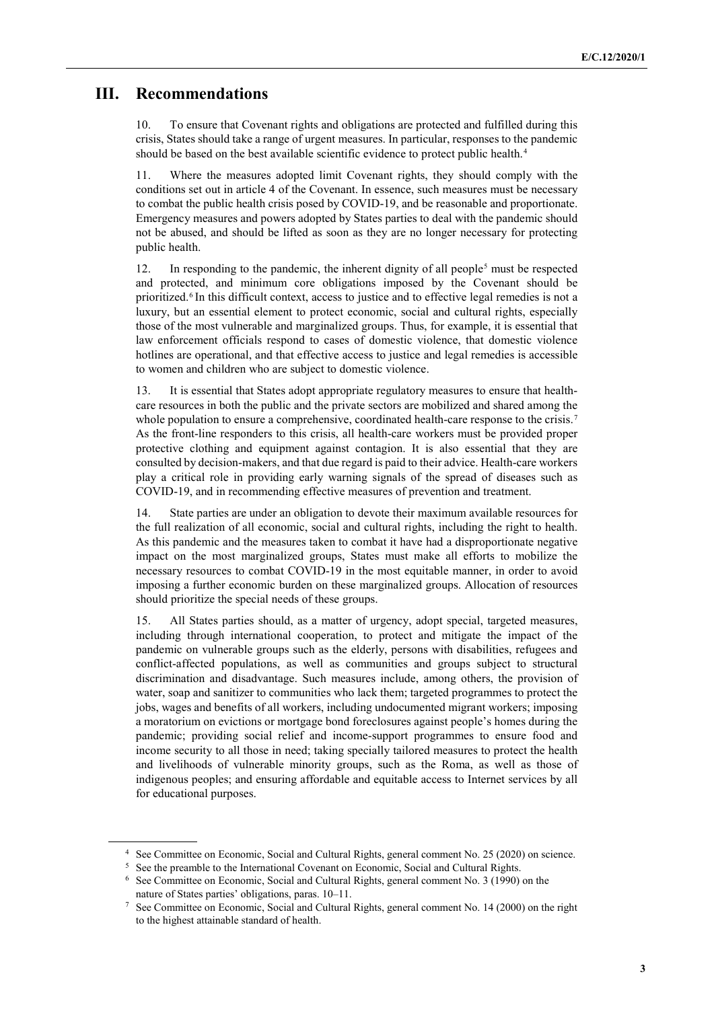#### **III. Recommendations**

10. To ensure that Covenant rights and obligations are protected and fulfilled during this crisis, States should take a range of urgent measures. In particular, responses to the pandemic should be based on the best available scientific evidence to protect public health.<sup>[4](#page-2-0)</sup>

11. Where the measures adopted limit Covenant rights, they should comply with the conditions set out in article 4 of the Covenant. In essence, such measures must be necessary to combat the public health crisis posed by COVID-19, and be reasonable and proportionate. Emergency measures and powers adopted by States parties to deal with the pandemic should not be abused, and should be lifted as soon as they are no longer necessary for protecting public health.

12. In responding to the pandemic, the inherent dignity of all people<sup>[5](#page-2-1)</sup> must be respected and protected, and minimum core obligations imposed by the Covenant should be prioritized.[6](#page-2-2) In this difficult context, access to justice and to effective legal remedies is not a luxury, but an essential element to protect economic, social and cultural rights, especially those of the most vulnerable and marginalized groups. Thus, for example, it is essential that law enforcement officials respond to cases of domestic violence, that domestic violence hotlines are operational, and that effective access to justice and legal remedies is accessible to women and children who are subject to domestic violence.

13. It is essential that States adopt appropriate regulatory measures to ensure that healthcare resources in both the public and the private sectors are mobilized and shared among the whole population to ensure a comprehensive, coordinated health-care response to the crisis.<sup>[7](#page-2-3)</sup> As the front-line responders to this crisis, all health-care workers must be provided proper protective clothing and equipment against contagion. It is also essential that they are consulted by decision-makers, and that due regard is paid to their advice. Health-care workers play a critical role in providing early warning signals of the spread of diseases such as COVID-19, and in recommending effective measures of prevention and treatment.

14. State parties are under an obligation to devote their maximum available resources for the full realization of all economic, social and cultural rights, including the right to health. As this pandemic and the measures taken to combat it have had a disproportionate negative impact on the most marginalized groups, States must make all efforts to mobilize the necessary resources to combat COVID-19 in the most equitable manner, in order to avoid imposing a further economic burden on these marginalized groups. Allocation of resources should prioritize the special needs of these groups.

15. All States parties should, as a matter of urgency, adopt special, targeted measures, including through international cooperation, to protect and mitigate the impact of the pandemic on vulnerable groups such as the elderly, persons with disabilities, refugees and conflict-affected populations, as well as communities and groups subject to structural discrimination and disadvantage. Such measures include, among others, the provision of water, soap and sanitizer to communities who lack them; targeted programmes to protect the jobs, wages and benefits of all workers, including undocumented migrant workers; imposing a moratorium on evictions or mortgage bond foreclosures against people's homes during the pandemic; providing social relief and income-support programmes to ensure food and income security to all those in need; taking specially tailored measures to protect the health and livelihoods of vulnerable minority groups, such as the Roma, as well as those of indigenous peoples; and ensuring affordable and equitable access to Internet services by all for educational purposes.

<span id="page-2-0"></span><sup>4</sup> See Committee on Economic, Social and Cultural Rights, general comment No. 25 (2020) on science.

<span id="page-2-1"></span><sup>&</sup>lt;sup>5</sup> See the preamble to the International Covenant on Economic, Social and Cultural Rights.

<span id="page-2-2"></span><sup>6</sup> See Committee on Economic, Social and Cultural Rights, general comment No. 3 (1990) on the nature of States parties' obligations, paras. 10–11.

<span id="page-2-3"></span><sup>7</sup> See Committee on Economic, Social and Cultural Rights, general comment No. 14 (2000) on the right to the highest attainable standard of health.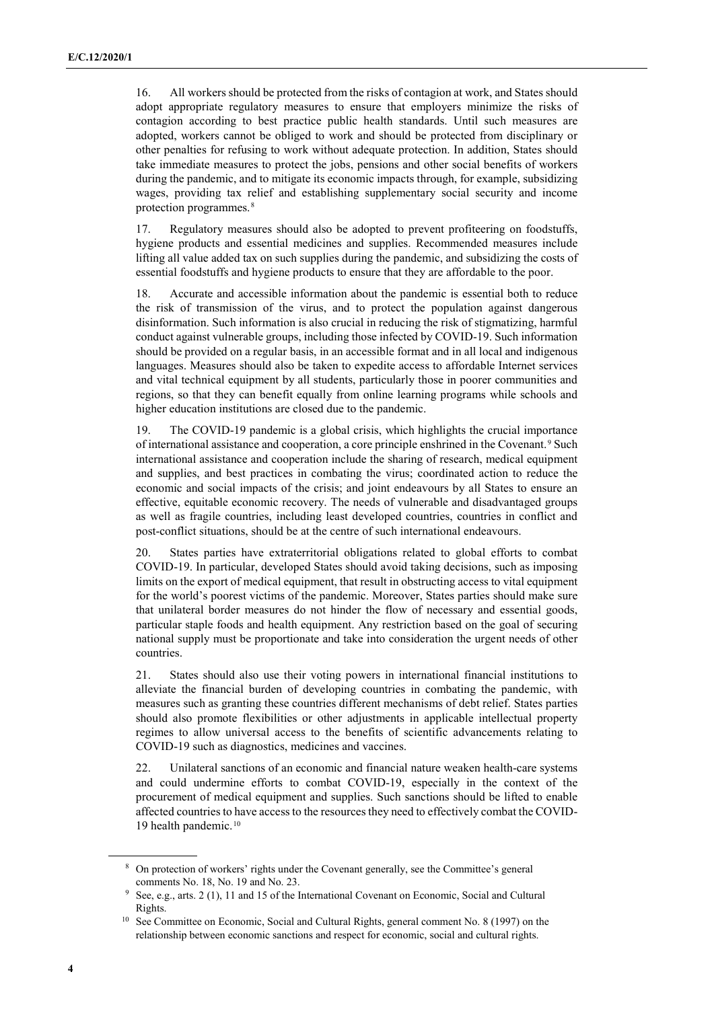16. All workers should be protected from the risks of contagion at work, and States should adopt appropriate regulatory measures to ensure that employers minimize the risks of contagion according to best practice public health standards. Until such measures are adopted, workers cannot be obliged to work and should be protected from disciplinary or other penalties for refusing to work without adequate protection. In addition, States should take immediate measures to protect the jobs, pensions and other social benefits of workers during the pandemic, and to mitigate its economic impacts through, for example, subsidizing wages, providing tax relief and establishing supplementary social security and income protection programmes.[8](#page-3-0)

17. Regulatory measures should also be adopted to prevent profiteering on foodstuffs, hygiene products and essential medicines and supplies. Recommended measures include lifting all value added tax on such supplies during the pandemic, and subsidizing the costs of essential foodstuffs and hygiene products to ensure that they are affordable to the poor.

18. Accurate and accessible information about the pandemic is essential both to reduce the risk of transmission of the virus, and to protect the population against dangerous disinformation. Such information is also crucial in reducing the risk of stigmatizing, harmful conduct against vulnerable groups, including those infected by COVID-19. Such information should be provided on a regular basis, in an accessible format and in all local and indigenous languages. Measures should also be taken to expedite access to affordable Internet services and vital technical equipment by all students, particularly those in poorer communities and regions, so that they can benefit equally from online learning programs while schools and higher education institutions are closed due to the pandemic.

19. The COVID-19 pandemic is a global crisis, which highlights the crucial importance of international assistance and cooperation, a core principle enshrined in the Covenant.[9](#page-3-1) Such international assistance and cooperation include the sharing of research, medical equipment and supplies, and best practices in combating the virus; coordinated action to reduce the economic and social impacts of the crisis; and joint endeavours by all States to ensure an effective, equitable economic recovery. The needs of vulnerable and disadvantaged groups as well as fragile countries, including least developed countries, countries in conflict and post-conflict situations, should be at the centre of such international endeavours.

20. States parties have extraterritorial obligations related to global efforts to combat COVID-19. In particular, developed States should avoid taking decisions, such as imposing limits on the export of medical equipment, that result in obstructing access to vital equipment for the world's poorest victims of the pandemic. Moreover, States parties should make sure that unilateral border measures do not hinder the flow of necessary and essential goods, particular staple foods and health equipment. Any restriction based on the goal of securing national supply must be proportionate and take into consideration the urgent needs of other countries.

21. States should also use their voting powers in international financial institutions to alleviate the financial burden of developing countries in combating the pandemic, with measures such as granting these countries different mechanisms of debt relief. States parties should also promote flexibilities or other adjustments in applicable intellectual property regimes to allow universal access to the benefits of scientific advancements relating to COVID-19 such as diagnostics, medicines and vaccines.

22. Unilateral sanctions of an economic and financial nature weaken health-care systems and could undermine efforts to combat COVID-19, especially in the context of the procurement of medical equipment and supplies. Such sanctions should be lifted to enable affected countries to have access to the resources they need to effectively combat the COVID-19 health pandemic.[10](#page-3-2)

<span id="page-3-0"></span><sup>8</sup> On protection of workers' rights under the Covenant generally, see the Committee's general

comments No. 18, No. 19 and No. 23.<br>See, e.g., arts. 2 (1), 11 and 15 of the International Covenant on Economic, Social and Cultural

<span id="page-3-2"></span><span id="page-3-1"></span>Rights.<br><sup>10</sup> See Committee on Economic, Social and Cultural Rights, general comment No. 8 (1997) on the relationship between economic sanctions and respect for economic, social and cultural rights.